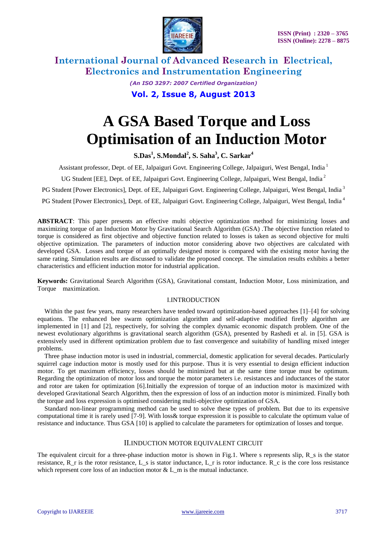

> *(An ISO 3297: 2007 Certified Organization)* **Vol. 2, Issue 8, August 2013**

# **A GSA Based Torque and Loss Optimisation of an Induction Motor**

**S.Das<sup>1</sup> , S.Mondal<sup>2</sup> , S. Saha<sup>3</sup> , C. Sarkar<sup>4</sup>**

Assistant professor, Dept. of EE, Jalpaiguri Govt. Engineering College, Jalpaiguri, West Bengal, India <sup>1</sup>

UG Student [EE], Dept. of EE, Jalpaiguri Govt. Engineering College, Jalpaiguri, West Bengal, India<sup>2</sup>

PG Student [Power Electronics], Dept. of EE, Jalpaiguri Govt. Engineering College, Jalpaiguri, West Bengal, India<sup>3</sup>

PG Student [Power Electronics], Dept. of EE, Jalpaiguri Govt. Engineering College, Jalpaiguri, West Bengal, India <sup>4</sup>

**ABSTRACT**: This paper presents an effective multi objective optimization method for minimizing losses and maximizing torque of an Induction Motor by Gravitational Search Algorithm (GSA) .The objective function related to torque is considered as first objective and objective function related to losses is taken as second objective for multi objective optimization. The parameters of induction motor considering above two objectives are calculated with developed GSA. Losses and torque of an optimally designed motor is compared with the existing motor having the same rating. Simulation results are discussed to validate the proposed concept. The simulation results exhibits a better characteristics and efficient induction motor for industrial application.

**Keywords:** Gravitational Search Algorithm (GSA), Gravitational constant, Induction Motor, Loss minimization, and Torque maximization.

#### I.INTRODUCTION

Within the past few years, many researchers have tended toward optimization-based approaches [1]–[4] for solving equations. The enhanced bee swarm optimization algorithm and self-adaptive modified firefly algorithm are implemented in [1] and [2], respectively, for solving the complex dynamic economic dispatch problem. One of the newest evolutionary algorithms is gravitational search algorithm (GSA), presented by Rashedi et al. in [5]. GSA is extensively used in different optimization problem due to fast convergence and suitability of handling mixed integer problems.

Three phase induction motor is used in industrial, commercial, domestic application for several decades. Particularly squirrel cage induction motor is mostly used for this purpose. Thus it is very essential to design efficient induction motor. To get maximum efficiency, losses should be minimized but at the same time torque must be optimum. Regarding the optimization of motor loss and torque the motor parameters i.e. resistances and inductances of the stator and rotor are taken for optimization [6].Initially the expression of torque of an induction motor is maximized with developed Gravitational Search Algorithm, then the expression of loss of an induction motor is minimized. Finally both the torque and loss expression is optimised considering multi-objective optimization of GSA.

Standard non-linear programming method can be used to solve these types of problem. But due to its expensive computational time it is rarely used [7-9]. With loss& torque expression it is possible to calculate the optimum value of resistance and inductance. Thus GSA [10] is applied to calculate the parameters for optimization of losses and torque.

#### II.INDUCTION MOTOR EQUIVALENT CIRCUIT

The equivalent circuit for a three-phase induction motor is shown in Fig.1. Where s represents slip, R\_s is the stator resistance,  $R_r$  is the rotor resistance,  $L_s$  is stator inductance,  $L_r$  is rotor inductance.  $R_c$  is the core loss resistance which represent core loss of an induction motor  $&L$  m is the mutual inductance.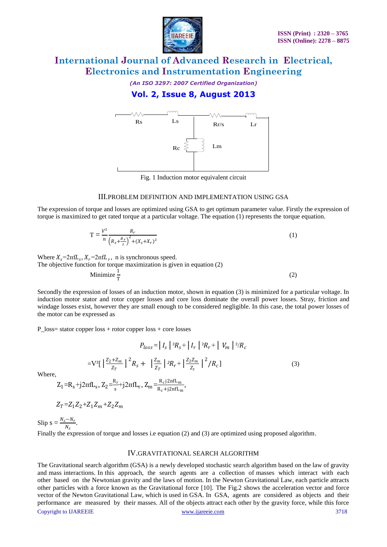

*(An ISO 3297: 2007 Certified Organization)* **Vol. 2, Issue 8, August 2013**



Fig. 1 Induction motor equivalent circuit

#### III.PROBLEM DEFINITION AND IMPLEMENTATION USING GSA

The expression of torque and losses are optimized using GSA to get optimum parameter value. Firstly the expression of torque is maximized to get rated torque at a particular voltage. The equation (1) represents the torque equation.

$$
T = \frac{V^2}{n} \frac{R_r}{\left(R_s + \frac{R_r}{s}\right)^2 + (X_s + X_r)^2}
$$
\n(1)

Where  $X_s = 2\pi f L_s$ ,  $X_r = 2\pi f L_r$ , n is synchronous speed. The objective function for torque maximization is given in equation (2) Minimize  $\frac{1}{T}$ (2)

Secondly the expression of losses of an induction motor, shown in equation (3) is minimized for a particular voltage. In induction motor stator and rotor copper losses and core loss dominate the overall power losses. Stray, friction and windage losses exist, however they are small enough to be considered negligible. In this case, the total power losses of the motor can be expressed as

P\_loss= stator copper loss + rotor copper loss + core losses

$$
P_{loss} = | I_s |^2 R_s + | I_r |^2 R_r + | V_m |^2 / R_c
$$
  
= 
$$
V^2 \left[ \left| \frac{Z_2 + Z_m}{Z_T} \right|^2 R_s + \left| \frac{Z_m}{Z_T} \right|^2 R_r + \left| \frac{Z_2 Z_m}{Z_t} \right|^2 / R_c \right]
$$
 (3)

Where,

$$
Z_1=R_s+j2\pi fL_s, Z_2=\!\!\frac{R_r}{s}+j2\pi fL_r, Z_m\!\!=\!\!\frac{R_cj2\pi fL_m}{R_c+j2\pi fL_m},
$$

$$
Z_T = Z_1 Z_2 + Z_1 Z_m + Z_2 Z_m
$$

Slip  $s = \frac{N_s - N_r}{N}$  $\frac{N_r}{N_s}$ .

Finally the expression of torque and losses i.e equation (2) and (3) are optimized using proposed algorithm.

#### IV.GRAVITATIONAL SEARCH ALGORITHM

Copyright to IJAREEIE [www.ijareeie.com](http://www.ijareeie.com/) 3718 The Gravitational search algorithm (GSA) is a newly developed stochastic search algorithm based on the law of gravity and mass interactions. In this approach, the search agents are a collection of masses which interact with each other based on the Newtonian gravity and the laws of motion. In the Newton Gravitational Law, each particle attracts other particles with a force known as the Gravitational force [10]. The Fig.2 shows the acceleration vector and force vector of the Newton Gravitational Law, which is used in GSA. In GSA, agents are considered as objects and their performance are measured by their masses. All of the objects attract each other by the gravity force, while this force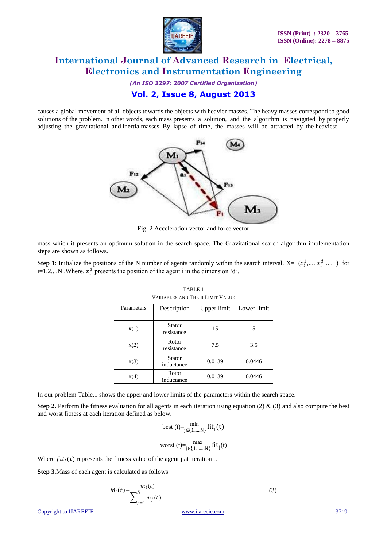

*(An ISO 3297: 2007 Certified Organization)* **Vol. 2, Issue 8, August 2013**

causes a global movement of all objects towards the objects with heavier masses. The heavy masses correspond to good solutions of the problem. In other words, each mass presents a solution, and the algorithm is navigated by properly adjusting the gravitational and inertia masses. By lapse of time, the masses will be attracted by the heaviest



Fig. 2 Acceleration vector and force vector

mass which it presents an optimum solution in the search space. The Gravitational search algorithm implementation steps are shown as follows.

**Step 1**: Initialize the positions of the N number of agents randomly within the search interval.  $X = (x_i^1, ..., x_i^d, ..., x_i^d)$ i=1,2....N .Where,  $x_i^d$  presents the position of the agent i in the dimension 'd'.

| Parameters | Description          | Upper limit | Lower limit |
|------------|----------------------|-------------|-------------|
| x(1)       | Stator<br>resistance | 15          |             |
| x(2)       | Rotor<br>resistance  | 7.5         | 3.5         |
| x(3)       | Stator<br>inductance | 0.0139      | 0.0446      |
| x(4)       | Rotor<br>inductance  |             | 0.0446      |

TABLE 1 VARIABLES AND THEIR LIMIT VALUE

In our problem Table.1 shows the upper and lower limits of the parameters within the search space.

**Step 2.** Perform the fitness evaluation for all agents in each iteration using equation (2)  $\&$  (3) and also compute the best and worst fitness at each iteration defined as below.

$$
\text{best}\left(t\right) {=} \min_{j \in \{1,\ldots,N\}} \text{fit}_{j}(t)
$$

$$
worst(t)=\max_{j\in\{1,\ldots,N\}}fit_{j}(t)
$$

Where  $fit_j(t)$  represents the fitness value of the agent j at iteration t.

**Step 3**.Mass of each agent is calculated as follows

$$
M_i(t) = \frac{m_i(t)}{\sum_{j=1}^{N} m_j(t)}
$$
 (3)

Copyright to IJAREEIE [www.ijareeie.com](http://www.ijareeie.com/) 3719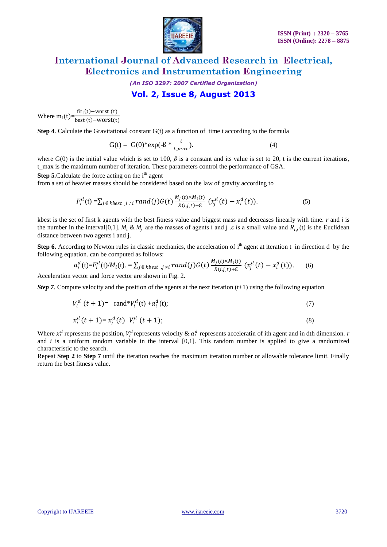

*(An ISO 3297: 2007 Certified Organization)*

### **Vol. 2, Issue 8, August 2013**

Where  $m_i(t) = \frac{fit_j(t) - worst(t)}{best(t) - worst(t)}$ best (t)-worst(t)

**Step 4.** Calculate the Gravitational constant G(t) as a function of time t according to the formula

$$
G(t) = G(0)^* exp(-\beta * \frac{t}{t_{\text{max}}}).
$$
\n(4)

where G(0) is the initial value which is set to 100,  $\beta$  is a constant and its value is set to 20, t is the current iterations, t\_max is the maximum number of iteration. These parameters control the performance of GSA.

**Step 5.** Calculate the force acting on the i<sup>th</sup> agent

from a set of heavier masses should be considered based on the law of gravity according to

$$
F_i^d(t) = \sum_{j \in kbest, j \neq i} rand(j)G(t) \frac{M_j(t) \times M_i(t)}{R(i,j,t) + \varepsilon} (x_j^d(t) - x_i^d(t)).
$$
\n
$$
(5)
$$

kbest is the set of first k agents with the best fitness value and biggest mass and decreases linearly with time. *r* and *i* is the number in the interval [0,1].  $M_i \& M_j$  are the masses of agents i and j . $\varepsilon$  is a small value and  $R_{i,j}(t)$  is the Euclidean distance between two agents i and j.

**Step 6.** According to Newton rules in classic mechanics, the acceleration of  $i<sup>th</sup>$  agent at iteration t in direction d by the following equation. can be computed as follows:

$$
a_i^d(\mathbf{t}) = F_i^d(\mathbf{t})/M_i(\mathbf{t}) = \sum_{j \in kbest} \sum_{j \neq i} rand(j)G(\mathbf{t}) \frac{M_j(\mathbf{t}) \times M_i(\mathbf{t})}{R(i,j,\mathbf{t}) + \varepsilon} (x_j^d(\mathbf{t}) - x_i^d(\mathbf{t})). \tag{6}
$$

Acceleration vector and force vector are shown in Fig. 2.

*Step 7*. Compute velocity and the position of the agents at the next iteration  $(t+1)$  using the following equation

$$
V_i^d \ (t+1) = \ \text{rand*} V_i^d(t) + a_i^d(t); \tag{7}
$$

$$
x_i^d(t+1) = x_j^d(t) + V_i^d(t+1); \tag{8}
$$

Where  $x_i^d$  represents the position,  $V_i^d$  represents velocity &  $a_i^d$  represents acceleratin of ith agent and in dth dimension. *r* and *i* is a uniform random variable in the interval [0,1]. This random number is applied to give a randomized characteristic to the search.

Repeat **Step 2** to **Step 7** until the iteration reaches the maximum iteration number or allowable tolerance limit. Finally return the best fitness value.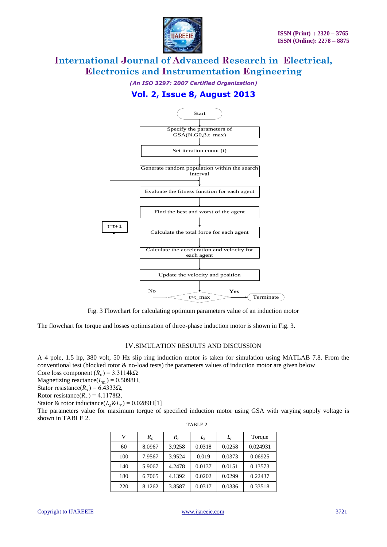

*(An ISO 3297: 2007 Certified Organization)*

### **Vol. 2, Issue 8, August 2013**



Fig. 3 Flowchart for calculating optimum parameters value of an induction motor

The flowchart for torque and losses optimisation of three-phase induction motor is shown in Fig. 3.

#### IV.SIMULATION RESULTS AND DISCUSSION

A 4 pole, 1.5 hp, 380 volt, 50 Hz slip ring induction motor is taken for simulation using MATLAB 7.8. From the conventional test (blocked rotor & no-load tests) the parameters values of induction motor are given below Core loss component  $(R_c) = 3.3114 \text{k}\Omega$ 

Magnetizing reactance( $L_m$ ) = 0.5098H,

Stator resistance( $R_s$ ) = 6.4333 $\Omega$ ,

Rotor resistance( $R_r$ ) = 4.1178 $\Omega$ ,

Stator & rotor inductance( $L_s \& L_r$ ) = 0.0289H[1]

The parameters value for maximum torque of specified induction motor using GSA with varying supply voltage is shown in TABLE 2.

| v   | $R_{\rm g}$ | $R_r$  | $L_{\rm s}$ | $L_r$  | Torque   |
|-----|-------------|--------|-------------|--------|----------|
| 60  | 8.0967      | 3.9258 | 0.0318      | 0.0258 | 0.024931 |
| 100 | 7.9567      | 3.9524 | 0.019       | 0.0373 | 0.06925  |
| 140 | 5.9067      | 4.2478 | 0.0137      | 0.0151 | 0.13573  |
| 180 | 6.7065      | 4.1392 | 0.0202      | 0.0299 | 0.22437  |
| 220 | 8.1262      | 3.8587 | 0.0317      | 0.0336 | 0.33518  |

| 7<br>r |  |
|--------|--|
|--------|--|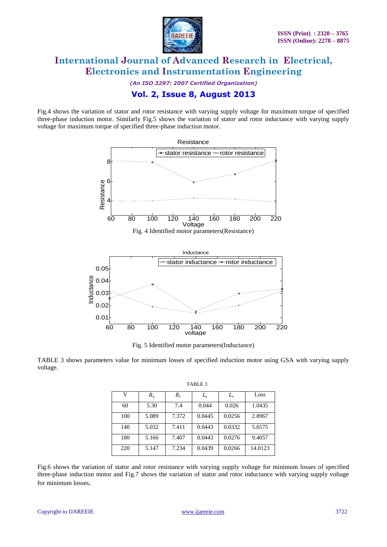

*(An ISO 3297: 2007 Certified Organization)*

### **Vol. 2, Issue 8, August 2013**

Fig.4 shows the variation of stator and rotor resistance with varying supply voltage for maximum torque of specified three-phase induction motor. Similarly Fig.5 shows the variation of stator and rotor inductance with varying supply voltage for maximum torque of specified three-phase induction motor.



Fig. 5 Identified motor parameters(Inductance)

TABLE 3 shows parameters value for minimum losses of specified induction motor using GSA with varying supply voltage.

| TABLE 3 |             |       |             |        |         |
|---------|-------------|-------|-------------|--------|---------|
| V       | $R_{\rm g}$ | $R_r$ | $L_{\rm s}$ | $L_r$  | Loss    |
| 60      | 5.30        | 7.4   | 0.044       | 0.026  | 1.0435  |
| 100     | 5.089       | 7.372 | 0.0445      | 0.0256 | 2.8967  |
| 140     | 5.032       | 7.411 | 0.0443      | 0.0332 | 5.6575  |
| 180     | 5.166       | 7.407 | 0.0443      | 0.0276 | 9.4057  |
| 220     | 5.147       | 7.234 | 0.0439      | 0.0266 | 14.0123 |

Fig.6 shows the variation of stator and rotor resistance with varying supply voltage for minimum losses of specified three-phase induction motor and Fig.7 shows the variation of stator and rotor inductance with varying supply voltage for minimum losses.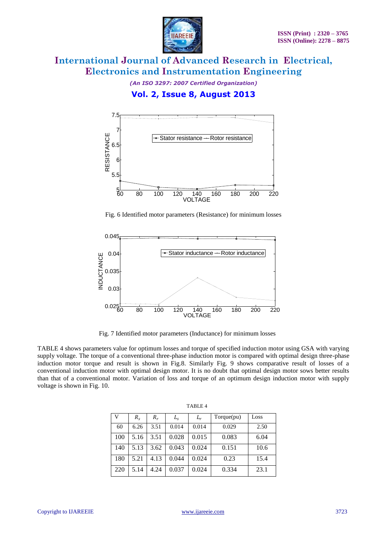

*(An ISO 3297: 2007 Certified Organization)* **Vol. 2, Issue 8, August 2013**



Fig. 6 Identified motor parameters (Resistance) for minimum losses



Fig. 7 Identified motor parameters (Inductance) for minimum losses

TABLE 4 shows parameters value for optimum losses and torque of specified induction motor using GSA with varying supply voltage. The torque of a conventional three-phase induction motor is compared with optimal design three-phase induction motor torque and result is shown in Fig.8. Similarly Fig. 9 shows comparative result of losses of a conventional induction motor with optimal design motor. It is no doubt that optimal design motor sows better results than that of a conventional motor. Variation of loss and torque of an optimum design induction motor with supply voltage is shown in Fig. 10.

| V   | $R_{s}$ | $R_r$ | $L_{\rm s}$ | $L_r$ | Torque(pu) | Loss |
|-----|---------|-------|-------------|-------|------------|------|
| 60  | 6.26    | 3.51  | 0.014       | 0.014 | 0.029      | 2.50 |
| 100 | 5.16    | 3.51  | 0.028       | 0.015 | 0.083      | 6.04 |
| 140 | 5.13    | 3.62  | 0.043       | 0.024 | 0.151      | 10.6 |
| 180 | 5.21    | 4.13  | 0.044       | 0.024 | 0.23       | 15.4 |
| 220 | 5.14    | 4.24  | 0.037       | 0.024 | 0.334      | 23.1 |

TABLE 4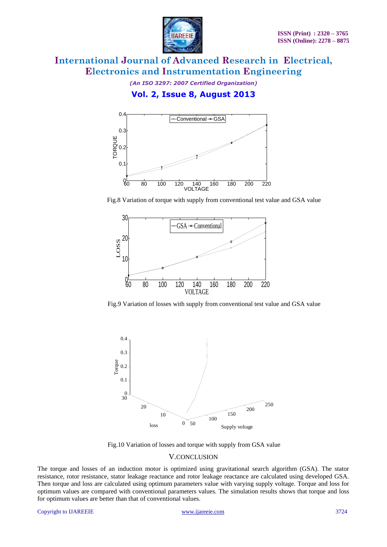

*(An ISO 3297: 2007 Certified Organization)*

### **Vol. 2, Issue 8, August 2013**



Fig.8 Variation of torque with supply from conventional test value and GSA value



Fig.9 Variation of losses with supply from conventional test value and GSA value



Fig.10 Variation of losses and torque with supply from GSA value

#### V.CONCLUSION

The torque and losses of an induction motor is optimized using gravitational search algorithm (GSA). The stator resistance, rotor resistance, stator leakage reactance and rotor leakage reactance are calculated using developed GSA. Then torque and loss are calculated using optimum parameters value with varying supply voltage. Torque and loss for optimum values are compared with conventional parameters values. The simulation results shows that torque and loss for optimum values are better than that of conventional values.